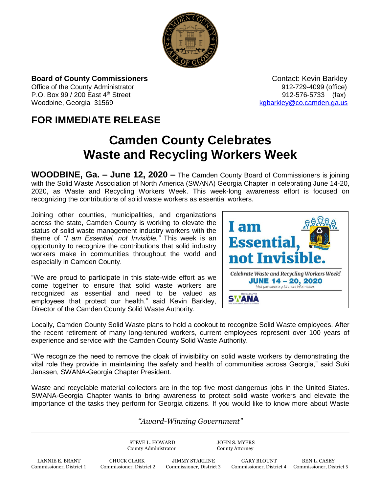

**Board of County Commissioners Contact: Kevin Barkley Contact: Kevin Barkley** 

Office of the County Administrator **Department County Administrator 912-729-4099** (office) P.O. Box 99 / 200 East 4<sup>th</sup> Street 912-576-5733 (fax) Woodbine, Georgia 31569 [kgbarkley@co.camden.ga.us](mailto:kgbarkley@co.camden.ga.us)

## **FOR IMMEDIATE RELEASE**

## **Camden County Celebrates Waste and Recycling Workers Week**

**WOODBINE, Ga. – June 12, 2020 –** The Camden County Board of Commissioners is joining with the Solid Waste Association of North America (SWANA) Georgia Chapter in celebrating June 14-20, 2020, as Waste and Recycling Workers Week. This week-long awareness effort is focused on recognizing the contributions of solid waste workers as essential workers.

Joining other counties, municipalities, and organizations across the state, Camden County is working to elevate the status of solid waste management industry workers with the theme of *"I am Essential, not Invisible."* This week is an opportunity to recognize the contributions that solid industry workers make in communities throughout the world and especially in Camden County.

"We are proud to participate in this state-wide effort as we come together to ensure that solid waste workers are recognized as essential and need to be valued as employees that protect our health." said Kevin Barkley, Director of the Camden County Solid Waste Authority.



Locally, Camden County Solid Waste plans to hold a cookout to recognize Solid Waste employees. After the recent retirement of many long-tenured workers, current employees represent over 100 years of experience and service with the Camden County Solid Waste Authority.

"We recognize the need to remove the cloak of invisibility on solid waste workers by demonstrating the vital role they provide in maintaining the safety and health of communities across Georgia," said Suki Janssen, SWANA-Georgia Chapter President.

Waste and recyclable material collectors are in the top five most dangerous jobs in the United States. SWANA-Georgia Chapter wants to bring awareness to protect solid waste workers and elevate the importance of the tasks they perform for Georgia citizens. If you would like to know more about Waste

## *"Award-Winning Government"*

STEVE L. HOWARD JOHN S. MYERS County Administrator County Attorney

LANNIE E. BRANT CHUCK CLARK JIMMY STARLINE GARY BLOUNT BEN L. CASEY<br>Commissioner, District 1 Commissioner, District 2 Commissioner, District 3 Commissioner, District 4 Commissioner, Dist

Commissioner, District 4 Commissioner, District 5